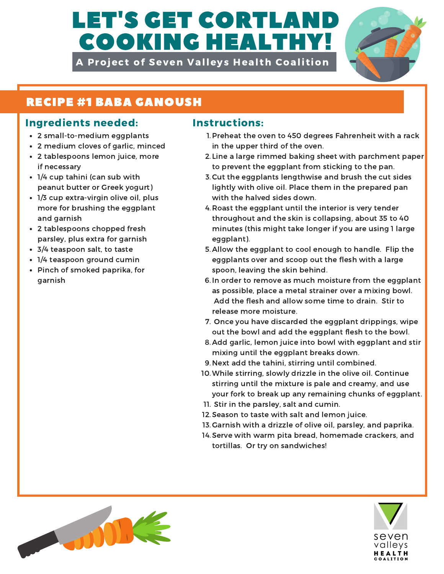# LET'S GET CORTLAN COOKING HEALTHY!

A Project of Seven Valleys Health Coalition



## RECIPE #1 BABA GANOUSH

### Ingredients needed: Instructions:

- 2 small-to-medium eggplants
- 2 medium cloves of garlic, minced
- 2 tablespoons lemon juice, more if necessary
- 1/4 cup tahini (can sub with peanut butter or Greek yogurt)
- 1/3 cup extra-virgin olive oil, plus more for brushing the eggplant and garnish
- 2 tablespoons chopped fresh parsley, plus extra for garnish
- 3/4 teaspoon salt, to taste
- 1/4 teaspoon ground cumin
- Pinch of smoked paprika, for garnish

- 1. Preheat the oven to 450 degrees Fahrenheit with a rack in the upper third of the oven.
- 2. Line a large rimmed baking sheet with parchment paper to prevent the eggplant from sticking to the pan.
- 3. Cut the eggplants lengthwise and brush the cut sides lightly with olive oil. Place them in the prepared pan with the halved sides down.
- 4. Roast the eggplant until the interior is very tender throughout and the skin is collapsing, about 35 to 40 minutes (this might take longer if you are using 1 large eggplant).
- 5. Allow the eggplant to cool enough to handle. Flip the eggplants over and scoop out the flesh with a large spoon, leaving the skin behind.
- 6. In order to remove as much moisture from the eggplant as possible, place a metal strainer over a mixing bowl. Add the flesh and allow some time to drain. Stir to release more moisture.
- 7. Once you have discarded the eggplant drippings, wipe out the bowl and add the eggplant flesh to the bowl.
- 8. Add garlic, lemon juice into bowl with eggplant and stir mixing until the eggplant breaks down.
- 9. Next add the tahini, stirring until combined.
- While stirring, slowly drizzle in the olive oil. Continue 10. stirring until the mixture is pale and creamy, and use your fork to break up any remaining chunks of eggplant.
- 11. Stir in the parsley, salt and cumin.
- 12. Season to taste with salt and lemon juice.
- 13. Garnish with a drizzle of olive oil, parsley, and paprika.
- 14. Serve with warm pita bread, homemade crackers, and tortillas. Or try on sandwiches!



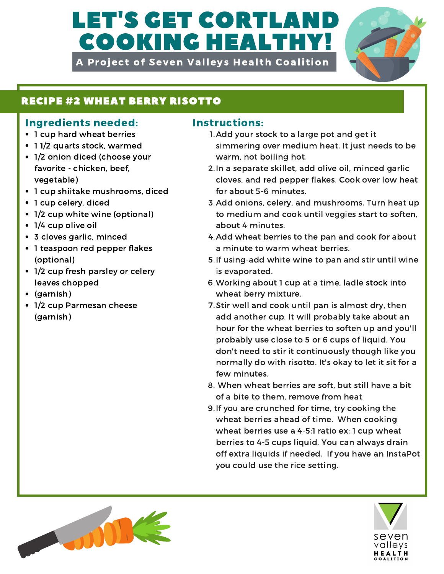# LET'S GET CORTLAI COOKING HEALTHY!

A Project of Seven Valleys Health Coalition



### RECIPE #2 WHEAT BERRY RISOTTO

### Ingredients needed: Instructions:

- 1 cup hard wheat berries
- 11/2 quarts stock, warmed
- 1/2 onion diced (choose your favorite - chicken, beef, vegetable)
- 1 cup shiitake mushrooms, diced
- 1 cup celery, diced
- 1/2 cup white wine (optional)
- 1/4 cup olive oil
- 3 cloves garlic, minced
- 1 teaspoon red pepper flakes (optional)
- 1/2 cup fresh parsley or celery leaves chopped
- (garnish)
- 1/2 cup Parmesan cheese (garnish)

- 1. Add your stock to a large pot and get it simmering over medium heat. It just needs to be warm, not boiling hot.
- 2. In a separate skillet, add olive oil, minced garlic cloves, and red pepper flakes. Cook over low heat for about 5-6 minutes.
- 3. Add onions, celery, and mushrooms. Turn heat up to medium and cook until veggies start to soften, about 4 minutes.
- 4. Add wheat berries to the pan and cook for about a minute to warm wheat berries.
- 5. If using-add white wine to pan and stir until wine is evaporated.
- Working about 1 cup at a time, ladle stock into 6. wheat berry mixture.
- 7. Stir well and cook until pan is almost dry, then add another cup. It will probably take about an hour for the wheat berries to soften up and you'll probably use close to 5 or 6 cups of liquid. You don't need to stir it continuously though like you normally do with risotto. It's okay to let it sit for a few minutes.
- When wheat berries are soft, but still have a bit 8. of a bite to them, remove from heat.
- 9. If you are crunched for time, try cooking the wheat berries ahead of time. When cooking wheat berries use a 4-5:1 ratio ex: 1 cup wheat berries to 4-5 cups liquid. You can always drain off extra liquids if needed. If you have an InstaPot you could use the rice setting.